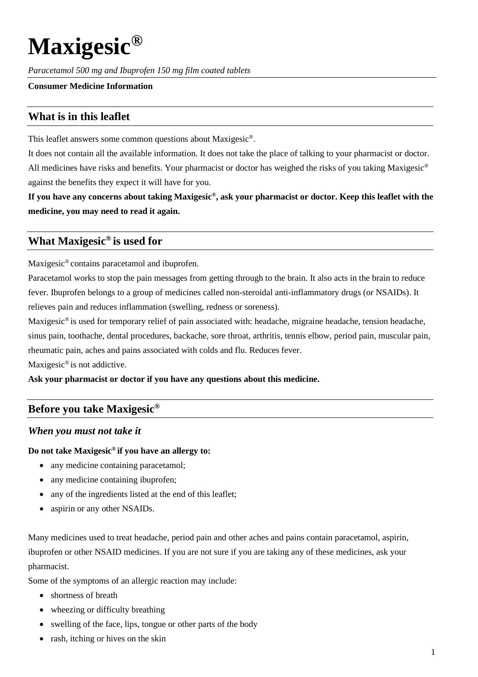# **Maxigesic®**

*Paracetamol 500 mg and Ibuprofen 150 mg film coated tablets*

### **Consumer Medicine Information**

# **What is in this leaflet**

This leaflet answers some common questions about Maxigesic®.

It does not contain all the available information. It does not take the place of talking to your pharmacist or doctor. All medicines have risks and benefits. Your pharmacist or doctor has weighed the risks of you taking Maxigesic<sup>®</sup> against the benefits they expect it will have for you.

**If you have any concerns about taking Maxigesic®, ask your pharmacist or doctor. Keep this leaflet with the medicine, you may need to read it again.**

## **What Maxigesic® is used for**

Maxigesic® contains paracetamol and ibuprofen.

Paracetamol works to stop the pain messages from getting through to the brain. It also acts in the brain to reduce fever. Ibuprofen belongs to a group of medicines called non-steroidal anti-inflammatory drugs (or NSAIDs). It relieves pain and reduces inflammation (swelling, redness or soreness).

Maxigesic® is used for temporary relief of pain associated with: headache, migraine headache, tension headache, sinus pain, toothache, dental procedures, backache, sore throat, arthritis, tennis elbow, period pain, muscular pain, rheumatic pain, aches and pains associated with colds and flu. Reduces fever.

Maxigesic<sup>®</sup> is not addictive.

**Ask your pharmacist or doctor if you have any questions about this medicine.**

## **Before you take Maxigesic®**

### *When you must not take it*

#### **Do not take Maxigesic® if you have an allergy to:**

- any medicine containing paracetamol;
- any medicine containing ibuprofen;
- any of the ingredients listed at the end of this leaflet;
- aspirin or any other NSAIDs.

Many medicines used to treat headache, period pain and other aches and pains contain paracetamol, aspirin, ibuprofen or other NSAID medicines. If you are not sure if you are taking any of these medicines, ask your pharmacist.

Some of the symptoms of an allergic reaction may include:

- shortness of breath
- wheezing or difficulty breathing
- swelling of the face, lips, tongue or other parts of the body
- rash, itching or hives on the skin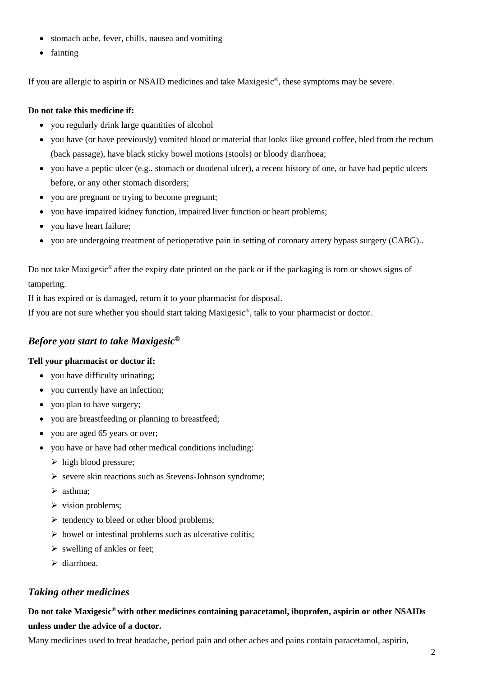- stomach ache, fever, chills, nausea and vomiting
- fainting

If you are allergic to aspirin or NSAID medicines and take Maxigesic®, these symptoms may be severe.

## **Do not take this medicine if:**

- you regularly drink large quantities of alcohol
- you have (or have previously) vomited blood or material that looks like ground coffee, bled from the rectum (back passage), have black sticky bowel motions (stools) or bloody diarrhoea;
- you have a peptic ulcer (e.g.. stomach or duodenal ulcer), a recent history of one, or have had peptic ulcers before, or any other stomach disorders;
- you are pregnant or trying to become pregnant;
- you have impaired kidney function, impaired liver function or heart problems;
- you have heart failure;
- you are undergoing treatment of perioperative pain in setting of coronary artery bypass surgery (CABG)..

Do not take Maxigesic® after the expiry date printed on the pack or if the packaging is torn or shows signs of tampering.

If it has expired or is damaged, return it to your pharmacist for disposal.

If you are not sure whether you should start taking Maxigesic®, talk to your pharmacist or doctor.

## *Before you start to take Maxigesic®*

### **Tell your pharmacist or doctor if:**

- you have difficulty urinating;
- you currently have an infection;
- you plan to have surgery;
- you are breastfeeding or planning to breastfeed;
- you are aged 65 years or over;
- you have or have had other medical conditions including:
	- $\triangleright$  high blood pressure;
	- $\triangleright$  severe skin reactions such as Stevens-Johnson syndrome;
	- $\triangleright$  asthma:
	- $\triangleright$  vision problems;
	- $\triangleright$  tendency to bleed or other blood problems;
	- $\triangleright$  bowel or intestinal problems such as ulcerative colitis;
	- $\triangleright$  swelling of ankles or feet:
	- $\blacktriangleright$  diarrhoea.

## *Taking other medicines*

## **Do not take Maxigesic® with other medicines containing paracetamol, ibuprofen, aspirin or other NSAIDs unless under the advice of a doctor.**

Many medicines used to treat headache, period pain and other aches and pains contain paracetamol, aspirin,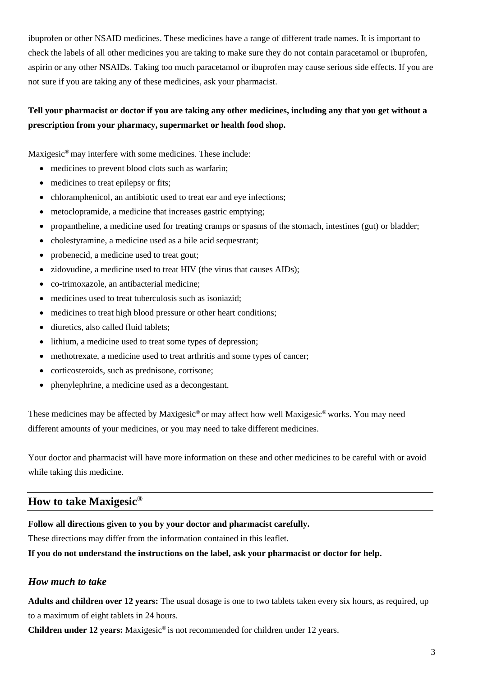ibuprofen or other NSAID medicines. These medicines have a range of different trade names. It is important to check the labels of all other medicines you are taking to make sure they do not contain paracetamol or ibuprofen, aspirin or any other NSAIDs. Taking too much paracetamol or ibuprofen may cause serious side effects. If you are not sure if you are taking any of these medicines, ask your pharmacist.

## **Tell your pharmacist or doctor if you are taking any other medicines, including any that you get without a prescription from your pharmacy, supermarket or health food shop.**

Maxigesic®may interfere with some medicines. These include:

- medicines to prevent blood clots such as warfarin;
- medicines to treat epilepsy or fits;
- chloramphenicol, an antibiotic used to treat ear and eye infections;
- metoclopramide, a medicine that increases gastric emptying;
- propantheline, a medicine used for treating cramps or spasms of the stomach, intestines (gut) or bladder;
- cholestyramine, a medicine used as a bile acid sequestrant;
- probenecid, a medicine used to treat gout;
- zidovudine, a medicine used to treat HIV (the virus that causes AIDs);
- co-trimoxazole, an antibacterial medicine;
- medicines used to treat tuberculosis such as isoniazid;
- medicines to treat high blood pressure or other heart conditions;
- diuretics, also called fluid tablets:
- lithium, a medicine used to treat some types of depression;
- methotrexate, a medicine used to treat arthritis and some types of cancer;
- corticosteroids, such as prednisone, cortisone;
- phenylephrine, a medicine used as a decongestant.

These medicines may be affected by Maxigesic® or may affect how well Maxigesic® works. You may need different amounts of your medicines, or you may need to take different medicines.

Your doctor and pharmacist will have more information on these and other medicines to be careful with or avoid while taking this medicine.

# **How to take Maxigesic®**

## **Follow all directions given to you by your doctor and pharmacist carefully.**

These directions may differ from the information contained in this leaflet.

**If you do not understand the instructions on the label, ask your pharmacist or doctor for help.**

# *How much to take*

**Adults and children over 12 years:** The usual dosage is one to two tablets taken every six hours, as required, up to a maximum of eight tablets in 24 hours.

**Children under 12 years:** Maxigesic® is not recommended for children under 12 years.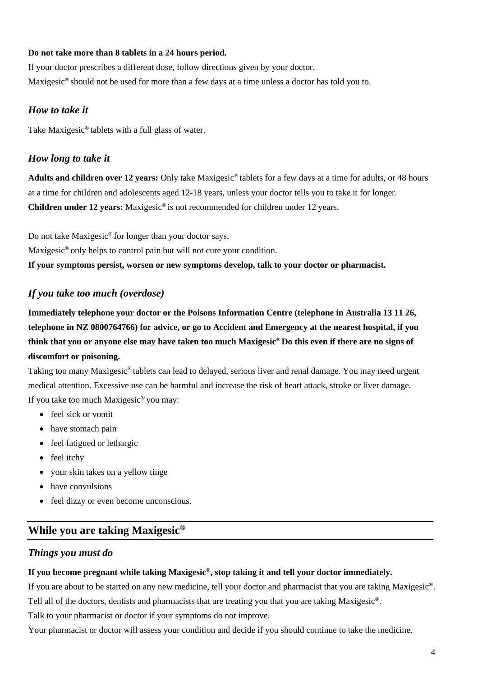#### **Do not take more than 8 tablets in a 24 hours period.**

If your doctor prescribes a different dose, follow directions given by your doctor. Maxigesic® should not be used for more than a few days at a time unless a doctor has told you to.

## *How to take it*

Take Maxigesic® tablets with a full glass of water.

## *How long to take it*

**Adults and children over 12 years:** Only take Maxigesic® tablets for a few days at a time for adults, or 48 hours at a time for children and adolescents aged 12-18 years, unless your doctor tells you to take it for longer. **Children under 12 years:** Maxigesic® is not recommended for children under 12 years.

Do not take Maxigesic® for longer than your doctor says.

Maxigesic® only helps to control pain but will not cure your condition.

**If your symptoms persist, worsen or new symptoms develop, talk to your doctor or pharmacist.**

## *If you take too much (overdose)*

**Immediately telephone your doctor or the Poisons Information Centre (telephone in Australia 13 11 26, telephone in NZ 0800764766) for advice, or go to Accident and Emergency at the nearest hospital, if you think that you or anyone else may have taken too much Maxigesic® Do this even if there are no signs of discomfort or poisoning.**

Taking too many Maxigesic® tablets can lead to delayed, serious liver and renal damage. You may need urgent medical attention. Excessive use can be harmful and increase the risk of heart attack, stroke or liver damage. If you take too much Maxigesic® you may:

- feel sick or vomit
- have stomach pain
- feel fatigued or lethargic
- feel itchy
- your skin takes on a yellow tinge
- have convulsions
- feel dizzy or even become unconscious.

# **While you are taking Maxigesic®**

## *Things you must do*

### **If you become pregnant while taking Maxigesic®, stop taking it and tell your doctor immediately.**

If you are about to be started on any new medicine, tell your doctor and pharmacist that you are taking Maxigesic®. Tell all of the doctors, dentists and pharmacists that are treating you that you are taking Maxigesic®.

Talk to your pharmacist or doctor if your symptoms do not improve.

Your pharmacist or doctor will assess your condition and decide if you should continue to take the medicine.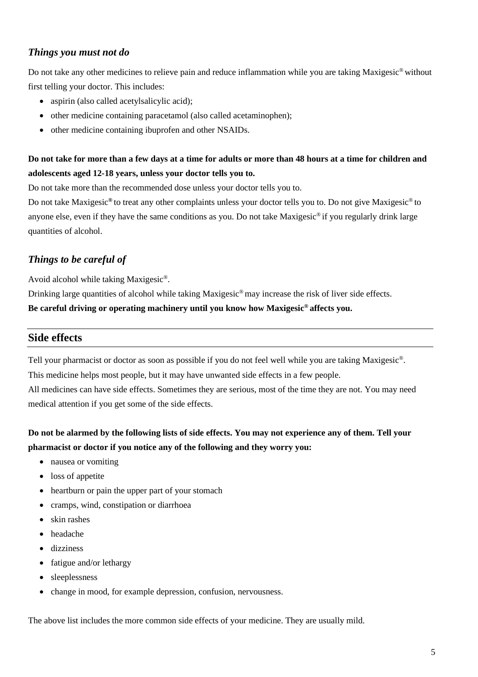## *Things you must not do*

Do not take any other medicines to relieve pain and reduce inflammation while you are taking Maxigesic® without first telling your doctor. This includes:

- aspirin (also called acetylsalicylic acid);
- other medicine containing paracetamol (also called acetaminophen);
- other medicine containing ibuprofen and other NSAIDs.

# **Do not take for more than a few days at a time for adults or more than 48 hours at a time for children and adolescents aged 12-18 years, unless your doctor tells you to.**

Do not take more than the recommended dose unless your doctor tells you to.

Do not take Maxigesic**®** to treat any other complaints unless your doctor tells you to. Do not give Maxigesic® to anyone else, even if they have the same conditions as you. Do not take Maxigesic® if you regularly drink large quantities of alcohol.

# *Things to be careful of*

Avoid alcohol while taking Maxigesic®.

Drinking large quantities of alcohol while taking Maxigesic<sup>®</sup>may increase the risk of liver side effects.

**Be careful driving or operating machinery until you know how Maxigesic® affects you.**

## **Side effects**

Tell your pharmacist or doctor as soon as possible if you do not feel well while you are taking Maxigesic®.

This medicine helps most people, but it may have unwanted side effects in a few people.

All medicines can have side effects. Sometimes they are serious, most of the time they are not. You may need medical attention if you get some of the side effects.

# **Do not be alarmed by the following lists of side effects. You may not experience any of them. Tell your pharmacist or doctor if you notice any of the following and they worry you:**

- nausea or vomiting
- loss of appetite
- heartburn or pain the upper part of your stomach
- cramps, wind, constipation or diarrhoea
- skin rashes
- headache
- dizziness
- fatigue and/or lethargy
- sleeplessness
- change in mood, for example depression, confusion, nervousness.

The above list includes the more common side effects of your medicine. They are usually mild.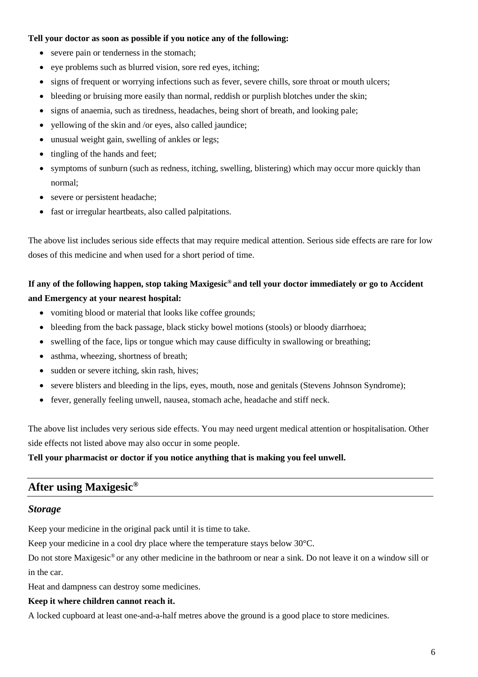#### **Tell your doctor as soon as possible if you notice any of the following:**

- severe pain or tenderness in the stomach;
- eye problems such as blurred vision, sore red eyes, itching;
- signs of frequent or worrying infections such as fever, severe chills, sore throat or mouth ulcers;
- bleeding or bruising more easily than normal, reddish or purplish blotches under the skin;
- signs of anaemia, such as tiredness, headaches, being short of breath, and looking pale;
- yellowing of the skin and /or eyes, also called jaundice;
- unusual weight gain, swelling of ankles or legs;
- tingling of the hands and feet;
- symptoms of sunburn (such as redness, itching, swelling, blistering) which may occur more quickly than normal;
- severe or persistent headache;
- fast or irregular heartbeats, also called palpitations.

The above list includes serious side effects that may require medical attention. Serious side effects are rare for low doses of this medicine and when used for a short period of time.

## **If any of the following happen, stop taking Maxigesic® and tell your doctor immediately or go to Accident and Emergency at your nearest hospital:**

- vomiting blood or material that looks like coffee grounds;
- bleeding from the back passage, black sticky bowel motions (stools) or bloody diarrhoea;
- swelling of the face, lips or tongue which may cause difficulty in swallowing or breathing;
- asthma, wheezing, shortness of breath;
- sudden or severe itching, skin rash, hives;
- severe blisters and bleeding in the lips, eyes, mouth, nose and genitals (Stevens Johnson Syndrome);
- fever, generally feeling unwell, nausea, stomach ache, headache and stiff neck.

The above list includes very serious side effects. You may need urgent medical attention or hospitalisation. Other side effects not listed above may also occur in some people.

### **Tell your pharmacist or doctor if you notice anything that is making you feel unwell.**

## **After using Maxigesic®**

#### *Storage*

Keep your medicine in the original pack until it is time to take.

Keep your medicine in a cool dry place where the temperature stays below 30°C.

Do not store Maxigesic® or any other medicine in the bathroom or near a sink. Do not leave it on a window sill or in the car.

Heat and dampness can destroy some medicines.

## **Keep it where children cannot reach it.**

A locked cupboard at least one-and-a-half metres above the ground is a good place to store medicines.